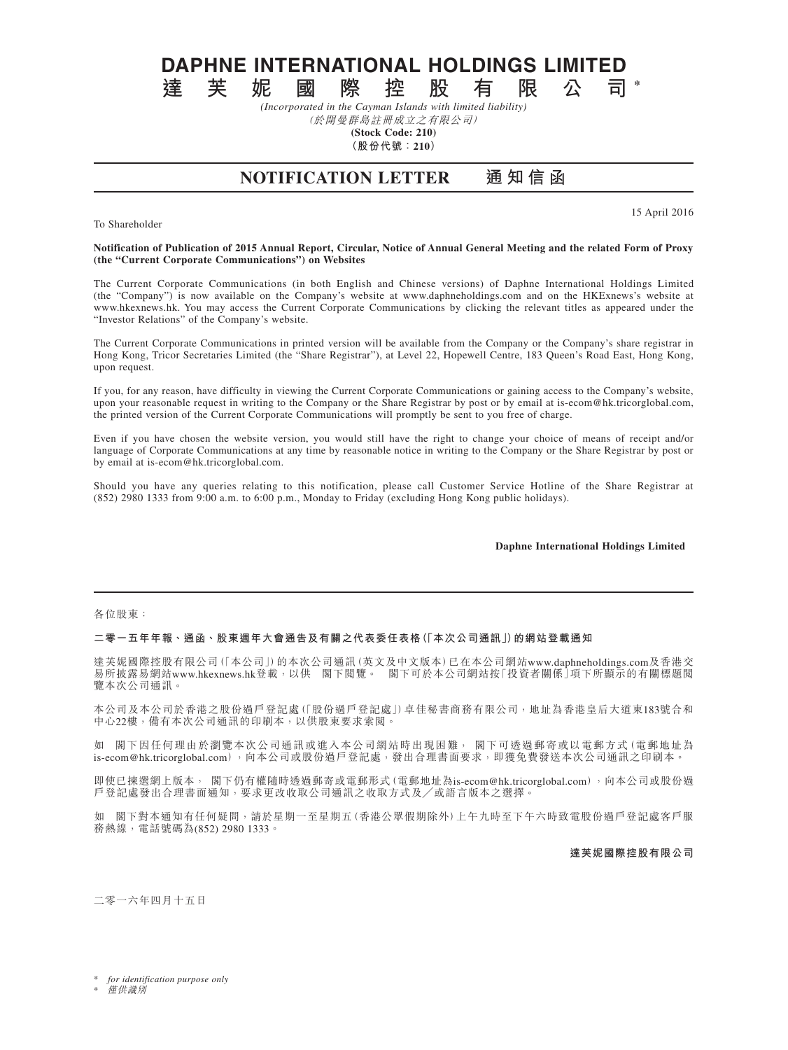**DAPHNE INTERNATIONAL HOLDINGS LIMITED**<br>達 芙 妮 國 際 控 股 有 限 公 司

**達芙妮國際控股有限公司 \*** *(Incorporated in the Cayman Islands with limited liability)*

(於開曼群島註冊成立之有限公司) **(Stock Code: 210)**

**(股份代號:210)**

# **NOTIFICATION LETTER 通 知 信 函**

To Shareholder

15 April 2016

### **Notification of Publication of 2015 Annual Report, Circular, Notice of Annual General Meeting and the related Form of Proxy (the "Current Corporate Communications") on Websites**

The Current Corporate Communications (in both English and Chinese versions) of Daphne International Holdings Limited (the "Company") is now available on the Company's website at www.daphneholdings.com and on the HKExnews's website at www.hkexnews.hk. You may access the Current Corporate Communications by clicking the relevant titles as appeared under the "Investor Relations" of the Company's website.

The Current Corporate Communications in printed version will be available from the Company or the Company's share registrar in Hong Kong, Tricor Secretaries Limited (the "Share Registrar"), at Level 22, Hopewell Centre, 183 Queen's Road East, Hong Kong, upon request.

If you, for any reason, have difficulty in viewing the Current Corporate Communications or gaining access to the Company's website, upon your reasonable request in writing to the Company or the Share Registrar by post or by email at is-ecom@hk.tricorglobal.com, the printed version of the Current Corporate Communications will promptly be sent to you free of charge.

Even if you have chosen the website version, you would still have the right to change your choice of means of receipt and/or language of Corporate Communications at any time by reasonable notice in writing to the Company or the Share Registrar by post or by email at is-ecom@hk.tricorglobal.com.

Should you have any queries relating to this notification, please call Customer Service Hotline of the Share Registrar at (852) 2980 1333 from 9:00 a.m. to 6:00 p.m., Monday to Friday (excluding Hong Kong public holidays).

## **Daphne International Holdings Limited**

#### 各位股東:

## **二零一五年年報、通函、股東週年大會通告及有關之代表委任表格(「本次公司通訊」)的網站登載通知**

達芙妮國際控股有限公司(「本公司」)的本次公司通訊(英文及中文版本)已在本公司網站www.daphneholdings.com及香港交 易所披露易網站www.hkexnews.hk登載,以供 閣下閱覽。 閣下可於本公司網站按「投資者關係」項下所顯示的有關標題閱 覽本次公司通訊。

本公司及本公司於香港之股份過戶登記處(「股份過戶登記處」)卓佳秘書商務有限公司,地址為香港皇后大道東183號合和 中心22樓,備有本次公司通訊的印刷本,以供股東要求索閱。

如 閣下因任何理由於瀏覽本次公司通訊或進入本公司網站時出現困難, 閣下可透過郵寄或以電郵方式(電郵地址為 is-ecom@hk.tricorglobal.com),向本公司或股份過戶登記處,發出合理書面要求,即獲免費發送本次公司通訊之印刷本。

即使已揀選網上版本, 閣下仍有權隨時透過郵寄或電郵形式(電郵地址為is-ecom@hk.tricorglobal.com),向本公司或股份過 戶登記處發出合理書面通知,要求更改收取公司通訊之收取方式及╱或語言版本之選擇。

如 閣下對本通知有任何疑問,請於星期一至星期五(香港公眾假期除外)上午九時至下午六時致電股份過戶登記處客戶服 務熱線,電話號碼為(852) 2980 1333。

**達芙妮國際控股有限公司**

二零一六年四月十五日

**僅供識別**